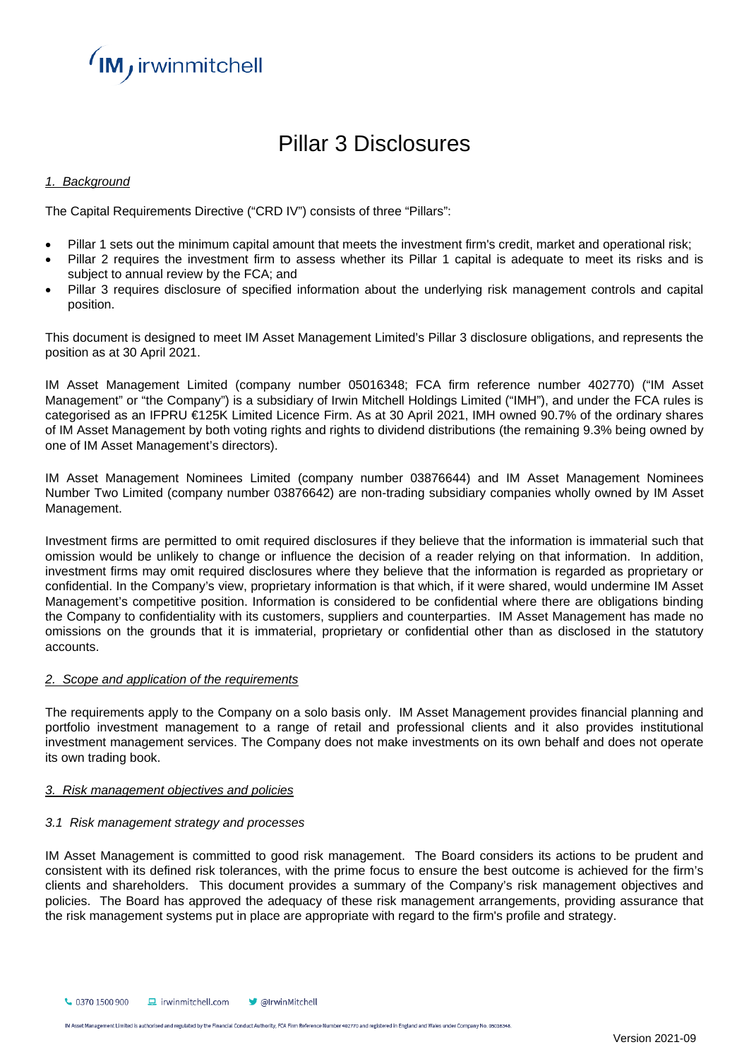

# Pillar 3 Disclosures

# *1. Background*

The Capital Requirements Directive ("CRD IV") consists of three "Pillars":

- Pillar 1 sets out the minimum capital amount that meets the investment firm's credit, market and operational risk;
- Pillar 2 requires the investment firm to assess whether its Pillar 1 capital is adequate to meet its risks and is subject to annual review by the FCA; and
- Pillar 3 requires disclosure of specified information about the underlying risk management controls and capital position.

This document is designed to meet IM Asset Management Limited's Pillar 3 disclosure obligations, and represents the position as at 30 April 2021.

IM Asset Management Limited (company number 05016348; FCA firm reference number 402770) ("IM Asset Management" or "the Company") is a subsidiary of Irwin Mitchell Holdings Limited ("IMH"), and under the FCA rules is categorised as an IFPRU €125K Limited Licence Firm. As at 30 April 2021, IMH owned 90.7% of the ordinary shares of IM Asset Management by both voting rights and rights to dividend distributions (the remaining 9.3% being owned by one of IM Asset Management's directors).

IM Asset Management Nominees Limited (company number 03876644) and IM Asset Management Nominees Number Two Limited (company number 03876642) are non-trading subsidiary companies wholly owned by IM Asset Management.

Investment firms are permitted to omit required disclosures if they believe that the information is immaterial such that omission would be unlikely to change or influence the decision of a reader relying on that information. In addition, investment firms may omit required disclosures where they believe that the information is regarded as proprietary or confidential. In the Company's view, proprietary information is that which, if it were shared, would undermine IM Asset Management's competitive position. Information is considered to be confidential where there are obligations binding the Company to confidentiality with its customers, suppliers and counterparties. IM Asset Management has made no omissions on the grounds that it is immaterial, proprietary or confidential other than as disclosed in the statutory accounts.

# *2. Scope and application of the requirements*

The requirements apply to the Company on a solo basis only. IM Asset Management provides financial planning and portfolio investment management to a range of retail and professional clients and it also provides institutional investment management services. The Company does not make investments on its own behalf and does not operate its own trading book.

# *3. Risk management objectives and policies*

# *3.1 Risk management strategy and processes*

IM Asset Management is committed to good risk management. The Board considers its actions to be prudent and consistent with its defined risk tolerances, with the prime focus to ensure the best outcome is achieved for the firm's clients and shareholders. This document provides a summary of the Company's risk management objectives and policies. The Board has approved the adequacy of these risk management arrangements, providing assurance that the risk management systems put in place are appropriate with regard to the firm's profile and strategy.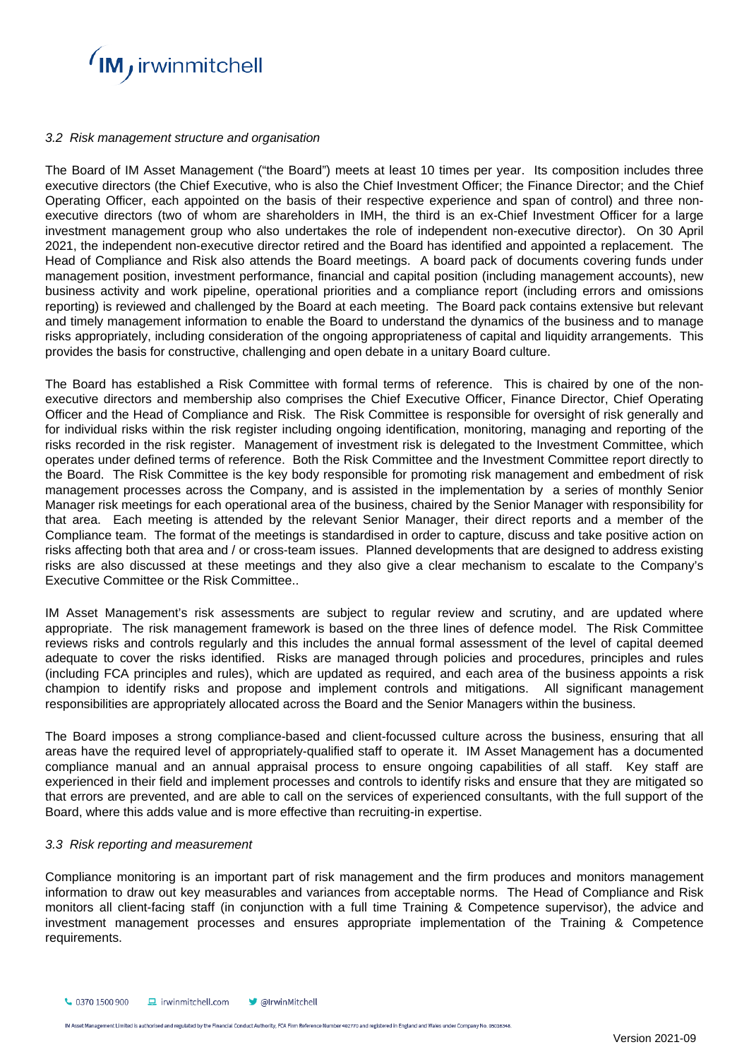

# *3.2 Risk management structure and organisation*

The Board of IM Asset Management ("the Board") meets at least 10 times per year. Its composition includes three executive directors (the Chief Executive, who is also the Chief Investment Officer; the Finance Director; and the Chief Operating Officer, each appointed on the basis of their respective experience and span of control) and three nonexecutive directors (two of whom are shareholders in IMH, the third is an ex-Chief Investment Officer for a large investment management group who also undertakes the role of independent non-executive director). On 30 April 2021, the independent non-executive director retired and the Board has identified and appointed a replacement. The Head of Compliance and Risk also attends the Board meetings. A board pack of documents covering funds under management position, investment performance, financial and capital position (including management accounts), new business activity and work pipeline, operational priorities and a compliance report (including errors and omissions reporting) is reviewed and challenged by the Board at each meeting. The Board pack contains extensive but relevant and timely management information to enable the Board to understand the dynamics of the business and to manage risks appropriately, including consideration of the ongoing appropriateness of capital and liquidity arrangements. This provides the basis for constructive, challenging and open debate in a unitary Board culture.

The Board has established a Risk Committee with formal terms of reference. This is chaired by one of the nonexecutive directors and membership also comprises the Chief Executive Officer, Finance Director, Chief Operating Officer and the Head of Compliance and Risk. The Risk Committee is responsible for oversight of risk generally and for individual risks within the risk register including ongoing identification, monitoring, managing and reporting of the risks recorded in the risk register. Management of investment risk is delegated to the Investment Committee, which operates under defined terms of reference. Both the Risk Committee and the Investment Committee report directly to the Board. The Risk Committee is the key body responsible for promoting risk management and embedment of risk management processes across the Company, and is assisted in the implementation by a series of monthly Senior Manager risk meetings for each operational area of the business, chaired by the Senior Manager with responsibility for that area. Each meeting is attended by the relevant Senior Manager, their direct reports and a member of the Compliance team. The format of the meetings is standardised in order to capture, discuss and take positive action on risks affecting both that area and / or cross-team issues. Planned developments that are designed to address existing risks are also discussed at these meetings and they also give a clear mechanism to escalate to the Company's Executive Committee or the Risk Committee..

IM Asset Management's risk assessments are subject to regular review and scrutiny, and are updated where appropriate. The risk management framework is based on the three lines of defence model. The Risk Committee reviews risks and controls regularly and this includes the annual formal assessment of the level of capital deemed adequate to cover the risks identified. Risks are managed through policies and procedures, principles and rules (including FCA principles and rules), which are updated as required, and each area of the business appoints a risk champion to identify risks and propose and implement controls and mitigations. All significant management responsibilities are appropriately allocated across the Board and the Senior Managers within the business.

The Board imposes a strong compliance-based and client-focussed culture across the business, ensuring that all areas have the required level of appropriately-qualified staff to operate it. IM Asset Management has a documented compliance manual and an annual appraisal process to ensure ongoing capabilities of all staff. Key staff are experienced in their field and implement processes and controls to identify risks and ensure that they are mitigated so that errors are prevented, and are able to call on the services of experienced consultants, with the full support of the Board, where this adds value and is more effective than recruiting-in expertise.

# *3.3 Risk reporting and measurement*

Compliance monitoring is an important part of risk management and the firm produces and monitors management information to draw out key measurables and variances from acceptable norms. The Head of Compliance and Risk monitors all client-facing staff (in conjunction with a full time Training & Competence supervisor), the advice and investment management processes and ensures appropriate implementation of the Training & Competence requirements.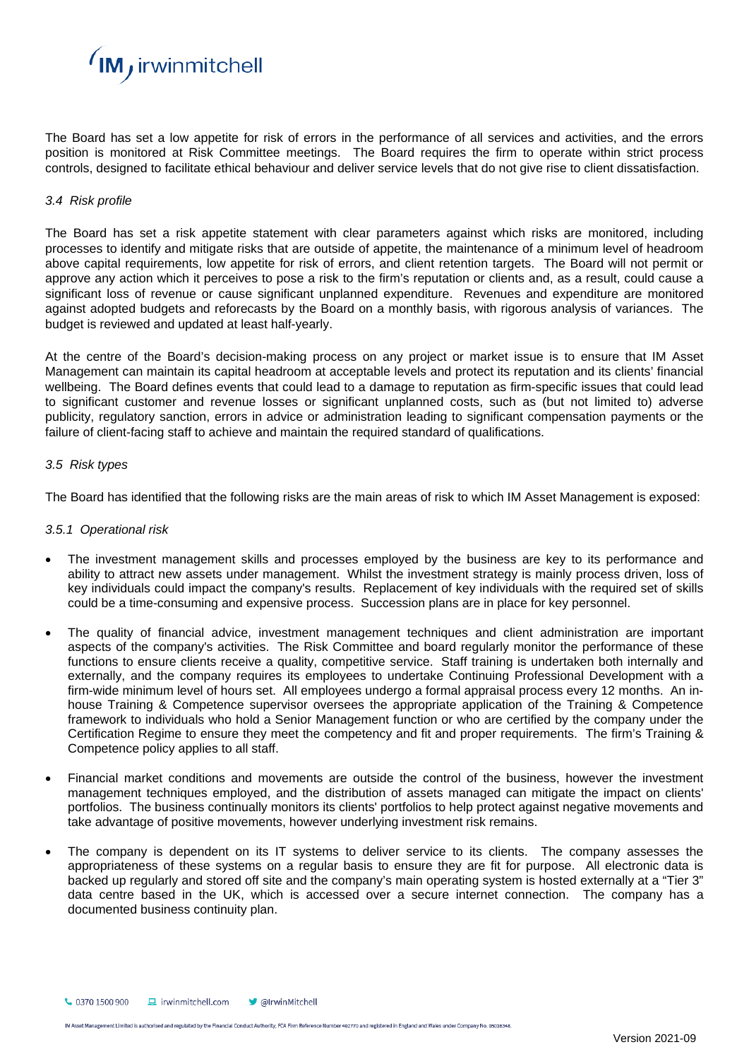

The Board has set a low appetite for risk of errors in the performance of all services and activities, and the errors position is monitored at Risk Committee meetings. The Board requires the firm to operate within strict process controls, designed to facilitate ethical behaviour and deliver service levels that do not give rise to client dissatisfaction.

#### *3.4 Risk profile*

The Board has set a risk appetite statement with clear parameters against which risks are monitored, including processes to identify and mitigate risks that are outside of appetite, the maintenance of a minimum level of headroom above capital requirements, low appetite for risk of errors, and client retention targets. The Board will not permit or approve any action which it perceives to pose a risk to the firm's reputation or clients and, as a result, could cause a significant loss of revenue or cause significant unplanned expenditure. Revenues and expenditure are monitored against adopted budgets and reforecasts by the Board on a monthly basis, with rigorous analysis of variances. The budget is reviewed and updated at least half-yearly.

At the centre of the Board's decision-making process on any project or market issue is to ensure that IM Asset Management can maintain its capital headroom at acceptable levels and protect its reputation and its clients' financial wellbeing. The Board defines events that could lead to a damage to reputation as firm-specific issues that could lead to significant customer and revenue losses or significant unplanned costs, such as (but not limited to) adverse publicity, regulatory sanction, errors in advice or administration leading to significant compensation payments or the failure of client-facing staff to achieve and maintain the required standard of qualifications.

#### *3.5 Risk types*

The Board has identified that the following risks are the main areas of risk to which IM Asset Management is exposed:

#### *3.5.1 Operational risk*

- The investment management skills and processes employed by the business are key to its performance and ability to attract new assets under management. Whilst the investment strategy is mainly process driven, loss of key individuals could impact the company's results. Replacement of key individuals with the required set of skills could be a time-consuming and expensive process. Succession plans are in place for key personnel.
- The quality of financial advice, investment management techniques and client administration are important aspects of the company's activities. The Risk Committee and board regularly monitor the performance of these functions to ensure clients receive a quality, competitive service. Staff training is undertaken both internally and externally, and the company requires its employees to undertake Continuing Professional Development with a firm-wide minimum level of hours set. All employees undergo a formal appraisal process every 12 months. An inhouse Training & Competence supervisor oversees the appropriate application of the Training & Competence framework to individuals who hold a Senior Management function or who are certified by the company under the Certification Regime to ensure they meet the competency and fit and proper requirements. The firm's Training & Competence policy applies to all staff.
- Financial market conditions and movements are outside the control of the business, however the investment management techniques employed, and the distribution of assets managed can mitigate the impact on clients' portfolios. The business continually monitors its clients' portfolios to help protect against negative movements and take advantage of positive movements, however underlying investment risk remains.
- The company is dependent on its IT systems to deliver service to its clients. The company assesses the appropriateness of these systems on a regular basis to ensure they are fit for purpose. All electronic data is backed up regularly and stored off site and the company's main operating system is hosted externally at a "Tier 3" data centre based in the UK, which is accessed over a secure internet connection. The company has a documented business continuity plan.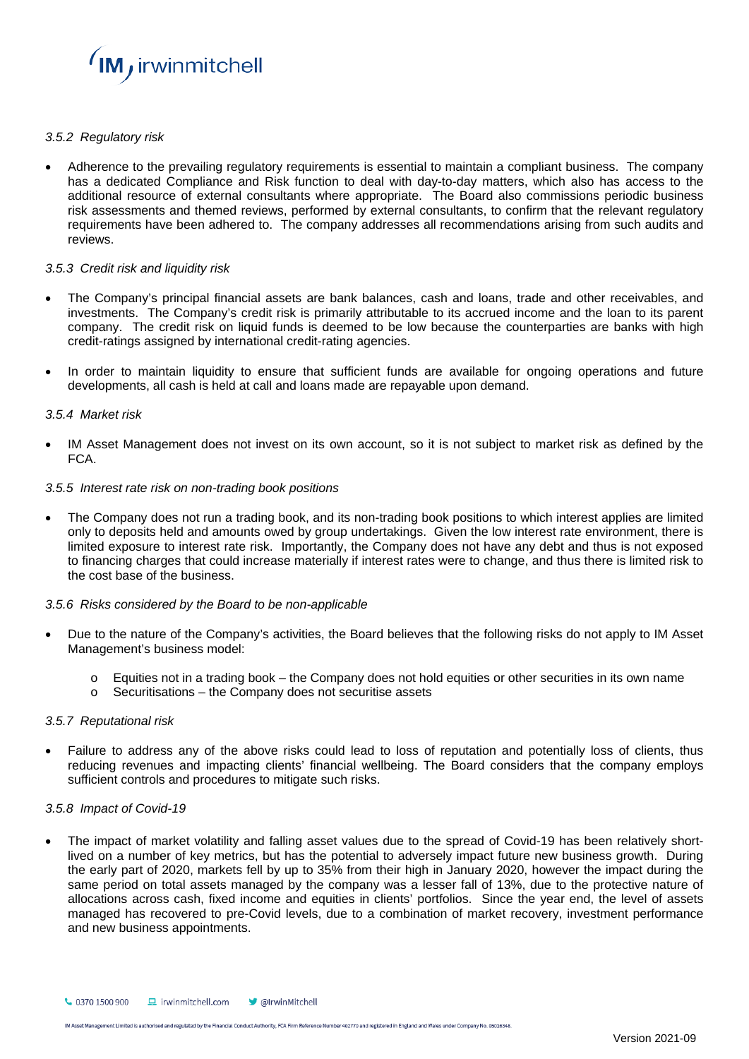

# *3.5.2 Regulatory risk*

• Adherence to the prevailing regulatory requirements is essential to maintain a compliant business. The company has a dedicated Compliance and Risk function to deal with day-to-day matters, which also has access to the additional resource of external consultants where appropriate. The Board also commissions periodic business risk assessments and themed reviews, performed by external consultants, to confirm that the relevant regulatory requirements have been adhered to. The company addresses all recommendations arising from such audits and reviews.

# *3.5.3 Credit risk and liquidity risk*

- The Company's principal financial assets are bank balances, cash and loans, trade and other receivables, and investments. The Company's credit risk is primarily attributable to its accrued income and the loan to its parent company. The credit risk on liquid funds is deemed to be low because the counterparties are banks with high credit-ratings assigned by international credit-rating agencies.
- In order to maintain liquidity to ensure that sufficient funds are available for ongoing operations and future developments, all cash is held at call and loans made are repayable upon demand.

#### *3.5.4 Market risk*

IM Asset Management does not invest on its own account, so it is not subject to market risk as defined by the FCA.

#### *3.5.5 Interest rate risk on non-trading book positions*

• The Company does not run a trading book, and its non-trading book positions to which interest applies are limited only to deposits held and amounts owed by group undertakings. Given the low interest rate environment, there is limited exposure to interest rate risk. Importantly, the Company does not have any debt and thus is not exposed to financing charges that could increase materially if interest rates were to change, and thus there is limited risk to the cost base of the business.

# *3.5.6 Risks considered by the Board to be non-applicable*

- Due to the nature of the Company's activities, the Board believes that the following risks do not apply to IM Asset Management's business model:
	- $\circ$  Equities not in a trading book the Company does not hold equities or other securities in its own name
	- $\circ$  Securitisations the Company does not securitise assets

# *3.5.7 Reputational risk*

• Failure to address any of the above risks could lead to loss of reputation and potentially loss of clients, thus reducing revenues and impacting clients' financial wellbeing. The Board considers that the company employs sufficient controls and procedures to mitigate such risks.

# *3.5.8 Impact of Covid-19*

• The impact of market volatility and falling asset values due to the spread of Covid-19 has been relatively shortlived on a number of key metrics, but has the potential to adversely impact future new business growth. During the early part of 2020, markets fell by up to 35% from their high in January 2020, however the impact during the same period on total assets managed by the company was a lesser fall of 13%, due to the protective nature of allocations across cash, fixed income and equities in clients' portfolios. Since the year end, the level of assets managed has recovered to pre-Covid levels, due to a combination of market recovery, investment performance and new business appointments.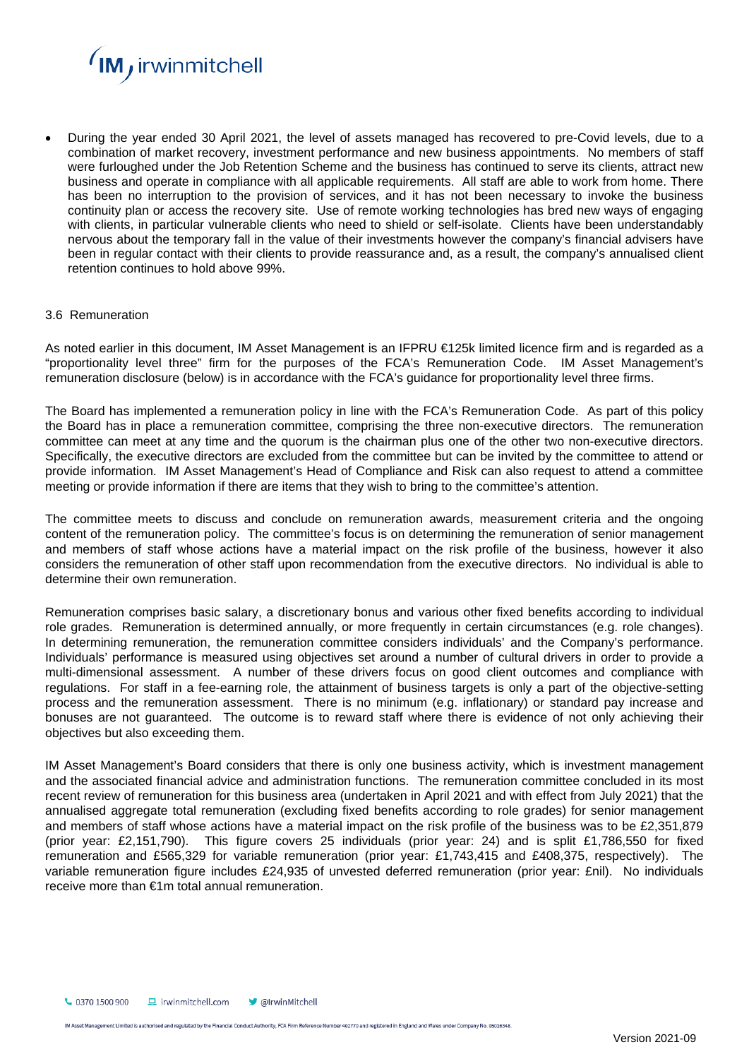

• During the year ended 30 April 2021, the level of assets managed has recovered to pre-Covid levels, due to a combination of market recovery, investment performance and new business appointments. No members of staff were furloughed under the Job Retention Scheme and the business has continued to serve its clients, attract new business and operate in compliance with all applicable requirements. All staff are able to work from home. There has been no interruption to the provision of services, and it has not been necessary to invoke the business continuity plan or access the recovery site. Use of remote working technologies has bred new ways of engaging with clients, in particular vulnerable clients who need to shield or self-isolate. Clients have been understandably nervous about the temporary fall in the value of their investments however the company's financial advisers have been in regular contact with their clients to provide reassurance and, as a result, the company's annualised client retention continues to hold above 99%.

#### 3.6 Remuneration

As noted earlier in this document, IM Asset Management is an IFPRU €125k limited licence firm and is regarded as a "proportionality level three" firm for the purposes of the FCA's Remuneration Code. IM Asset Management's remuneration disclosure (below) is in accordance with the FCA's guidance for proportionality level three firms.

The Board has implemented a remuneration policy in line with the FCA's Remuneration Code. As part of this policy the Board has in place a remuneration committee, comprising the three non-executive directors. The remuneration committee can meet at any time and the quorum is the chairman plus one of the other two non-executive directors. Specifically, the executive directors are excluded from the committee but can be invited by the committee to attend or provide information. IM Asset Management's Head of Compliance and Risk can also request to attend a committee meeting or provide information if there are items that they wish to bring to the committee's attention.

The committee meets to discuss and conclude on remuneration awards, measurement criteria and the ongoing content of the remuneration policy. The committee's focus is on determining the remuneration of senior management and members of staff whose actions have a material impact on the risk profile of the business, however it also considers the remuneration of other staff upon recommendation from the executive directors. No individual is able to determine their own remuneration.

Remuneration comprises basic salary, a discretionary bonus and various other fixed benefits according to individual role grades. Remuneration is determined annually, or more frequently in certain circumstances (e.g. role changes). In determining remuneration, the remuneration committee considers individuals' and the Company's performance. Individuals' performance is measured using objectives set around a number of cultural drivers in order to provide a multi-dimensional assessment. A number of these drivers focus on good client outcomes and compliance with regulations. For staff in a fee-earning role, the attainment of business targets is only a part of the objective-setting process and the remuneration assessment. There is no minimum (e.g. inflationary) or standard pay increase and bonuses are not guaranteed. The outcome is to reward staff where there is evidence of not only achieving their objectives but also exceeding them.

IM Asset Management's Board considers that there is only one business activity, which is investment management and the associated financial advice and administration functions. The remuneration committee concluded in its most recent review of remuneration for this business area (undertaken in April 2021 and with effect from July 2021) that the annualised aggregate total remuneration (excluding fixed benefits according to role grades) for senior management and members of staff whose actions have a material impact on the risk profile of the business was to be £2,351,879 (prior year: £2,151,790). This figure covers 25 individuals (prior year: 24) and is split £1,786,550 for fixed remuneration and £565,329 for variable remuneration (prior year: £1,743,415 and £408,375, respectively). The variable remuneration figure includes £24,935 of unvested deferred remuneration (prior year: £nil). No individuals receive more than €1m total annual remuneration.